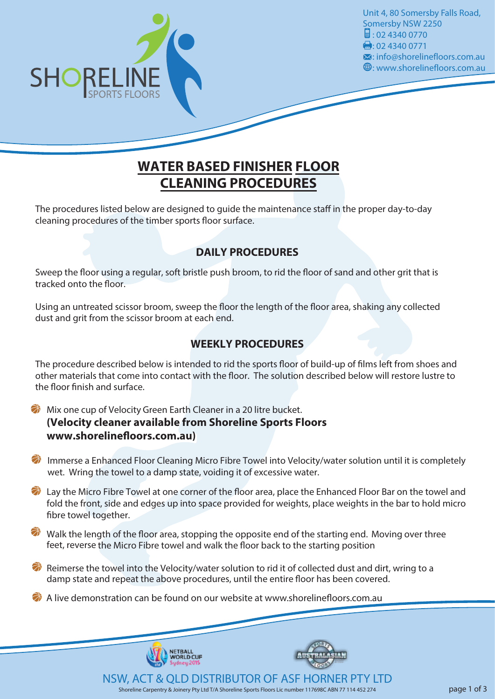

Unit 4, 80 Somersby Falls Road, Somersby NSW 2250  $\frac{1}{2}$ : 02 4340 0770  $\bullet$ : 02 4340 0771 : info@shorelinefloors.com.au : www.shorelinefloors.com.au

## **WATER BASED FINISHER FLOOR CLEANING PROCEDURES**

The procedures listed below are designed to quide the maintenance staff in the proper day-to-day cleaning procedures of the timber sports floor surface.

### **DAILY PROCEDURES**

Sweep the floor using a regular, soft bristle push broom, to rid the floor of sand and other grit that is tracked onto the floor.

Using an untreated scissor broom, sweep the floor the length of the floor area, shaking any collected dust and grit from the scissor broom at each end.

### **WEEKLY PROCEDURES**

The procedure described below is intended to rid the sports floor of build-up of films left from shoes and other materials that come into contact with the floor. The solution described below will restore lustre to the floor finish and surface.

弟 Mix one cup of Velocity Green Earth Cleaner in a 20 litre bucket. **(Velocity cleaner available from Shoreline Sports Floors** www.shorelinefloors.com.au)

**The Immerse a Enhanced Floor Cleaning Micro Fibre Towel into Velocity/water solution until it is completely** wet. Wring the towel to a damp state, voiding it of excessive water.

Lay the Micro Fibre Towel at one corner of the floor area, place the Enhanced Floor Bar on the towel and fold the front, side and edges up into space provided for weights, place weights in the bar to hold micro fibre towel together.

 $\bullet$  Walk the length of the floor area, stopping the opposite end of the starting end. Moving over three feet, reverse the Micro Fibre towel and walk the floor back to the starting position

 $\bullet$  Reimerse the towel into the Velocity/water solution to rid it of collected dust and dirt, wring to a damp state and repeat the above procedures, until the entire floor has been covered.

 $\bullet$  A live demonstration can be found on our website at www.shorelinefloors.com.au

NETBALL **VORLD CUF**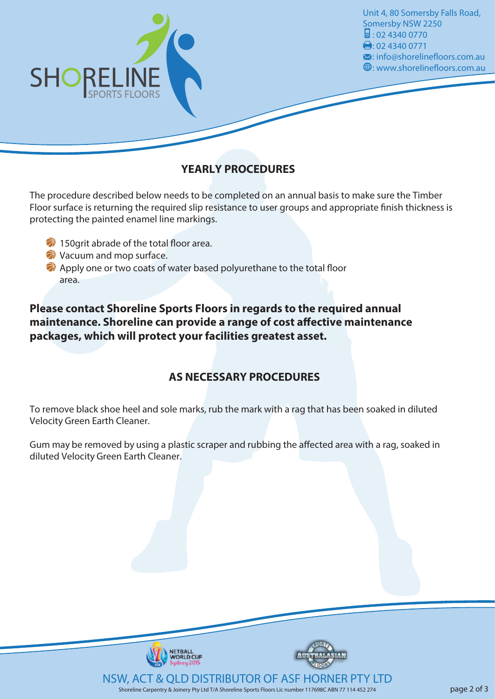

Unit 4, 80 Somersby Falls Road, Somersby NSW 2250  $\frac{1}{2}$ : 02 4340 0770  $\bullet$ : 02 4340 0771 : info@shorelinefloors.com.au : www.shorelinefloors.com.au

## **YEARLY PROCEDURES**

The procedure described below needs to be completed on an annual basis to make sure the Timber Floor surface is returning the required slip resistance to user groups and appropriate finish thickness is protecting the painted enamel line markings.

- $\bullet$  150 grit abrade of the total floor area.
- Vacuum and mop surface.
- $\bullet$  Apply one or two coats of water based polyurethane to the total floor area.

### **Please contact Shoreline Sports Floors in regards to the required annual maintenance. Shoreline can provide a range of cost affective maintenance packages, which will protect your facilities greatest asset.**

## **AS NECESSARY PROCEDURES**

To remove black shoe heel and sole marks, rub the mark with a rag that has been soaked in diluted Velocity Green Earth Cleaner.

Gum may be removed by using a plastic scraper and rubbing the affected area with a rag, soaked in diluted Velocity Green Earth Cleaner.